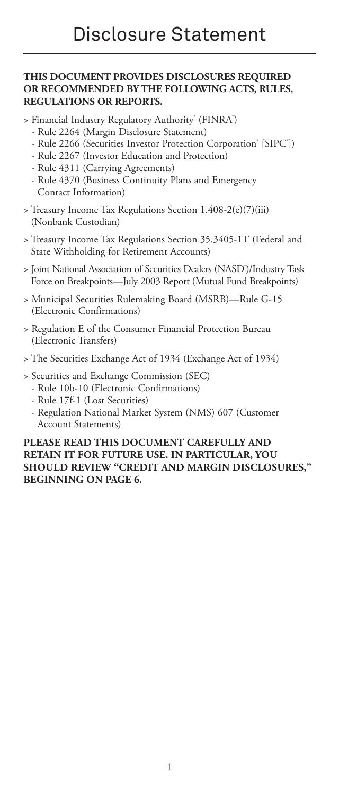# **THIS DOCUMENT PROVIDES DISCLOSURES REQUIRED OR RECOMMENDED BY THE FOLLOWING ACTS, RULES, REGULATIONS OR REPORTS.**

- > Financial Industry Regulatory Authority<sup>®</sup> (FINRA<sup>®</sup>)
	- Rule 2264 (Margin Disclosure Statement)
	- Rule 2266 (Securities Investor Protection Corporation° [SIPC'])
	- Rule 2267 (Investor Education and Protection)
	- Rule 4311 (Carrying Agreements)
	- Rule 4370 (Business Continuity Plans and Emergency Contact Information)
- > Treasury Income Tax Regulations Section 1.408-2(e)(7)(iii) (Nonbank Custodian)
- > Treasury Income Tax Regulations Section 35.3405-1T (Federal and State Withholding for Retirement Accounts)
- > Joint National Association of Securities Dealers (NASD® )/Industry Task Force on Breakpoints—July 2003 Report (Mutual Fund Breakpoints)
- > Municipal Securities Rulemaking Board (MSRB)—Rule G-15 (Electronic Confirmations)
- > Regulation E of the Consumer Financial Protection Bureau (Electronic Transfers)
- > The Securities Exchange Act of 1934 (Exchange Act of 1934)
- > Securities and Exchange Commission (SEC)
	- Rule 10b-10 (Electronic Confirmations)
	- Rule 17f-1 (Lost Securities)
	- Regulation National Market System (NMS) 607 (Customer Account Statements)

### **PLEASE READ THIS DOCUMENT CAREFULLY AND RETAIN IT FOR FUTURE USE. IN PARTICULAR, YOU SHOULD REVIEW "CREDIT AND MARGIN DISCLOSURES," BEGINNING ON PAGE 6.**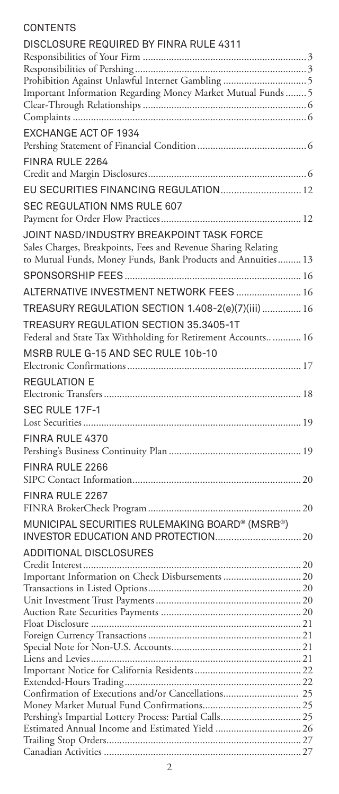# **CONTENTS**

| DISCLOSURE REQUIRED BY FINRA RULE 4311                        |  |
|---------------------------------------------------------------|--|
|                                                               |  |
|                                                               |  |
| Prohibition Against Unlawful Internet Gambling  5             |  |
| Important Information Regarding Money Market Mutual Funds  5  |  |
|                                                               |  |
|                                                               |  |
| EXCHANGE ACT OF 1934                                          |  |
|                                                               |  |
| FINRA RULE 2264                                               |  |
| EU SECURITIES FINANCING REGULATION 12                         |  |
|                                                               |  |
| SEC REGULATION NMS RULE 607                                   |  |
| JOINT NASD/INDUSTRY BREAKPOINT TASK FORCE                     |  |
| Sales Charges, Breakpoints, Fees and Revenue Sharing Relating |  |
| to Mutual Funds, Money Funds, Bank Products and Annuities 13  |  |
|                                                               |  |
|                                                               |  |
| ALTERNATIVE INVESTMENT NETWORK FEES  16                       |  |
| TREASURY REGULATION SECTION 1.408-2(e)(7)(iii)  16            |  |
| TREASURY REGULATION SECTION 35.3405-1T                        |  |
| Federal and State Tax Withholding for Retirement Accounts 16  |  |
| MSRB RULE G-15 AND SEC RULE 10b-10                            |  |
|                                                               |  |
| REGULATION E                                                  |  |
|                                                               |  |
| SEC RULE 17F-1                                                |  |
|                                                               |  |
| FINRA RULE 4370                                               |  |
|                                                               |  |
|                                                               |  |
| FINRA RULE 2266                                               |  |
|                                                               |  |
| FINRA RULE 2267                                               |  |
|                                                               |  |
| MUNICIPAL SECURITIES RULEMAKING BOARD® (MSRB®)                |  |
|                                                               |  |
| ADDITIONAL DISCLOSURES                                        |  |
|                                                               |  |
| Important Information on Check Disbursements  20              |  |
|                                                               |  |
|                                                               |  |
|                                                               |  |
| Float Disclosure.                                             |  |
|                                                               |  |
|                                                               |  |
|                                                               |  |
|                                                               |  |
| Confirmation of Executions and/or Cancellations 25            |  |
|                                                               |  |
|                                                               |  |
|                                                               |  |
|                                                               |  |
|                                                               |  |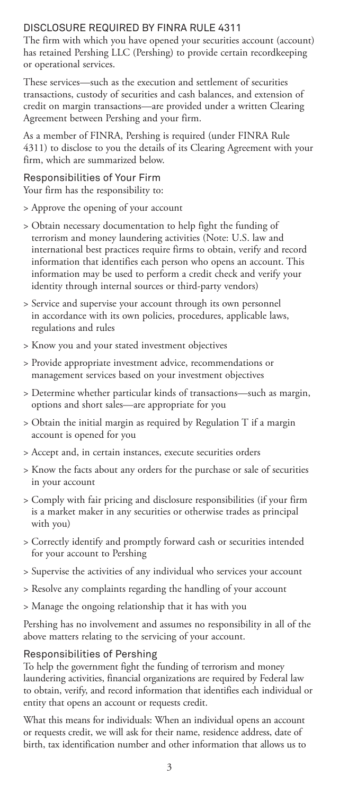# DISCLOSURE REQUIRED BY FINRA RULE 4311

The firm with which you have opened your securities account (account) has retained Pershing LLC (Pershing) to provide certain recordkeeping or operational services.

These services—such as the execution and settlement of securities transactions, custody of securities and cash balances, and extension of credit on margin transactions—are provided under a written Clearing Agreement between Pershing and your firm.

As a member of FINRA, Pershing is required (under FINRA Rule 4311) to disclose to you the details of its Clearing Agreement with your firm, which are summarized below.

# Responsibilities of Your Firm

Your firm has the responsibility to:

- > Approve the opening of your account
- > Obtain necessary documentation to help fight the funding of terrorism and money laundering activities (Note: U.S. law and international best practices require firms to obtain, verify and record information that identifies each person who opens an account. This information may be used to perform a credit check and verify your identity through internal sources or third-party vendors)
- > Service and supervise your account through its own personnel in accordance with its own policies, procedures, applicable laws, regulations and rules
- > Know you and your stated investment objectives
- > Provide appropriate investment advice, recommendations or management services based on your investment objectives
- > Determine whether particular kinds of transactions—such as margin, options and short sales—are appropriate for you
- > Obtain the initial margin as required by Regulation T if a margin account is opened for you
- > Accept and, in certain instances, execute securities orders
- > Know the facts about any orders for the purchase or sale of securities in your account
- > Comply with fair pricing and disclosure responsibilities (if your firm is a market maker in any securities or otherwise trades as principal with you)
- > Correctly identify and promptly forward cash or securities intended for your account to Pershing
- > Supervise the activities of any individual who services your account
- > Resolve any complaints regarding the handling of your account
- > Manage the ongoing relationship that it has with you

Pershing has no involvement and assumes no responsibility in all of the above matters relating to the servicing of your account.

# Responsibilities of Pershing

To help the government fight the funding of terrorism and money laundering activities, financial organizations are required by Federal law to obtain, verify, and record information that identifies each individual or entity that opens an account or requests credit.

What this means for individuals: When an individual opens an account or requests credit, we will ask for their name, residence address, date of birth, tax identification number and other information that allows us to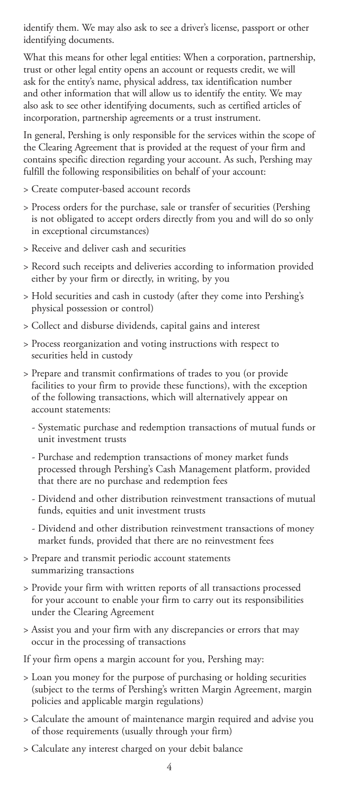identify them. We may also ask to see a driver's license, passport or other identifying documents.

What this means for other legal entities: When a corporation, partnership, trust or other legal entity opens an account or requests credit, we will ask for the entity's name, physical address, tax identification number and other information that will allow us to identify the entity. We may also ask to see other identifying documents, such as certified articles of incorporation, partnership agreements or a trust instrument.

In general, Pershing is only responsible for the services within the scope of the Clearing Agreement that is provided at the request of your firm and contains specific direction regarding your account. As such, Pershing may fulfill the following responsibilities on behalf of your account:

- > Create computer-based account records
- > Process orders for the purchase, sale or transfer of securities (Pershing is not obligated to accept orders directly from you and will do so only in exceptional circumstances)
- > Receive and deliver cash and securities
- > Record such receipts and deliveries according to information provided either by your firm or directly, in writing, by you
- > Hold securities and cash in custody (after they come into Pershing's physical possession or control)
- > Collect and disburse dividends, capital gains and interest
- > Process reorganization and voting instructions with respect to securities held in custody
- > Prepare and transmit confirmations of trades to you (or provide facilities to your firm to provide these functions), with the exception of the following transactions, which will alternatively appear on account statements:
	- Systematic purchase and redemption transactions of mutual funds or unit investment trusts
	- Purchase and redemption transactions of money market funds processed through Pershing's Cash Management platform, provided that there are no purchase and redemption fees
	- Dividend and other distribution reinvestment transactions of mutual funds, equities and unit investment trusts
	- Dividend and other distribution reinvestment transactions of money market funds, provided that there are no reinvestment fees
- > Prepare and transmit periodic account statements summarizing transactions
- > Provide your firm with written reports of all transactions processed for your account to enable your firm to carry out its responsibilities under the Clearing Agreement
- > Assist you and your firm with any discrepancies or errors that may occur in the processing of transactions

If your firm opens a margin account for you, Pershing may:

- > Loan you money for the purpose of purchasing or holding securities (subject to the terms of Pershing's written Margin Agreement, margin policies and applicable margin regulations)
- > Calculate the amount of maintenance margin required and advise you of those requirements (usually through your firm)
- > Calculate any interest charged on your debit balance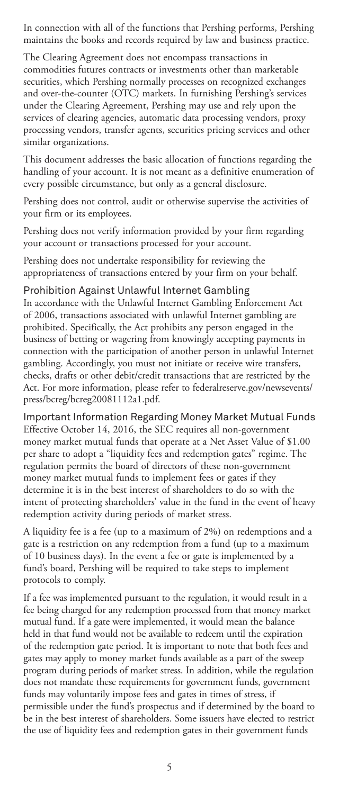In connection with all of the functions that Pershing performs, Pershing maintains the books and records required by law and business practice.

The Clearing Agreement does not encompass transactions in commodities futures contracts or investments other than marketable securities, which Pershing normally processes on recognized exchanges and over-the-counter (OTC) markets. In furnishing Pershing's services under the Clearing Agreement, Pershing may use and rely upon the services of clearing agencies, automatic data processing vendors, proxy processing vendors, transfer agents, securities pricing services and other similar organizations.

This document addresses the basic allocation of functions regarding the handling of your account. It is not meant as a definitive enumeration of every possible circumstance, but only as a general disclosure.

Pershing does not control, audit or otherwise supervise the activities of your firm or its employees.

Pershing does not verify information provided by your firm regarding your account or transactions processed for your account.

Pershing does not undertake responsibility for reviewing the appropriateness of transactions entered by your firm on your behalf.

### Prohibition Against Unlawful Internet Gambling

In accordance with the Unlawful Internet Gambling Enforcement Act of 2006, transactions associated with unlawful Internet gambling are prohibited. Specifically, the Act prohibits any person engaged in the business of betting or wagering from knowingly accepting payments in connection with the participation of another person in unlawful Internet gambling. Accordingly, you must not initiate or receive wire transfers, checks, drafts or other debit/credit transactions that are restricted by the Act. For more information, please refer to federalreserve.gov/newsevents/ press/bcreg/bcreg20081112a1.pdf.

Important Information Regarding Money Market Mutual Funds Effective October 14, 2016, the SEC requires all non-government money market mutual funds that operate at a Net Asset Value of \$1.00 per share to adopt a "liquidity fees and redemption gates" regime. The regulation permits the board of directors of these non-government money market mutual funds to implement fees or gates if they determine it is in the best interest of shareholders to do so with the intent of protecting shareholders' value in the fund in the event of heavy redemption activity during periods of market stress.

A liquidity fee is a fee (up to a maximum of 2%) on redemptions and a gate is a restriction on any redemption from a fund (up to a maximum of 10 business days). In the event a fee or gate is implemented by a fund's board, Pershing will be required to take steps to implement protocols to comply.

If a fee was implemented pursuant to the regulation, it would result in a fee being charged for any redemption processed from that money market mutual fund. If a gate were implemented, it would mean the balance held in that fund would not be available to redeem until the expiration of the redemption gate period. It is important to note that both fees and gates may apply to money market funds available as a part of the sweep program during periods of market stress. In addition, while the regulation does not mandate these requirements for government funds, government funds may voluntarily impose fees and gates in times of stress, if permissible under the fund's prospectus and if determined by the board to be in the best interest of shareholders. Some issuers have elected to restrict the use of liquidity fees and redemption gates in their government funds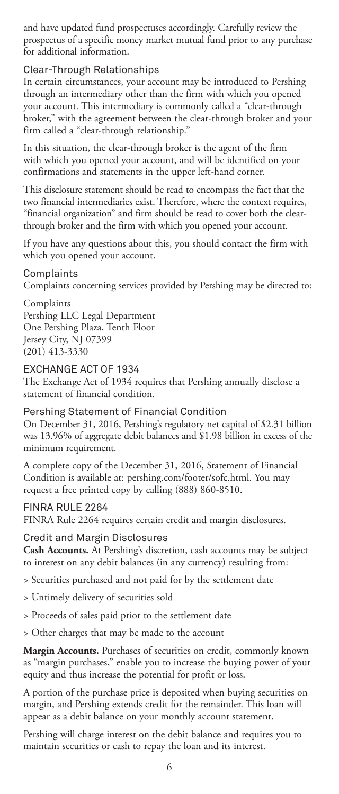and have updated fund prospectuses accordingly. Carefully review the prospectus of a specific money market mutual fund prior to any purchase for additional information.

# Clear-Through Relationships

In certain circumstances, your account may be introduced to Pershing through an intermediary other than the firm with which you opened your account. This intermediary is commonly called a "clear-through broker," with the agreement between the clear-through broker and your firm called a "clear-through relationship."

In this situation, the clear-through broker is the agent of the firm with which you opened your account, and will be identified on your confirmations and statements in the upper left-hand corner.

This disclosure statement should be read to encompass the fact that the two financial intermediaries exist. Therefore, where the context requires, "financial organization" and firm should be read to cover both the clearthrough broker and the firm with which you opened your account.

If you have any questions about this, you should contact the firm with which you opened your account.

### Complaints

Complaints concerning services provided by Pershing may be directed to:

Complaints Pershing LLC Legal Department One Pershing Plaza, Tenth Floor Jersey City, NJ 07399 (201) 413-3330

### EXCHANGE ACT OF 1934

The Exchange Act of 1934 requires that Pershing annually disclose a statement of financial condition.

#### Pershing Statement of Financial Condition

On December 31, 2016, Pershing's regulatory net capital of \$2.31 billion was 13.96% of aggregate debit balances and \$1.98 billion in excess of the minimum requirement.

A complete copy of the December 31, 2016, Statement of Financial Condition is available at: pershing.com/footer/sofc.html. You may request a free printed copy by calling (888) 860-8510.

#### FINRA RULE 2264

FINRA Rule 2264 requires certain credit and margin disclosures.

#### Credit and Margin Disclosures

**Cash Accounts.** At Pershing's discretion, cash accounts may be subject to interest on any debit balances (in any currency) resulting from:

> Securities purchased and not paid for by the settlement date

- > Untimely delivery of securities sold
- > Proceeds of sales paid prior to the settlement date
- > Other charges that may be made to the account

**Margin Accounts.** Purchases of securities on credit, commonly known as "margin purchases," enable you to increase the buying power of your equity and thus increase the potential for profit or loss.

A portion of the purchase price is deposited when buying securities on margin, and Pershing extends credit for the remainder. This loan will appear as a debit balance on your monthly account statement.

Pershing will charge interest on the debit balance and requires you to maintain securities or cash to repay the loan and its interest.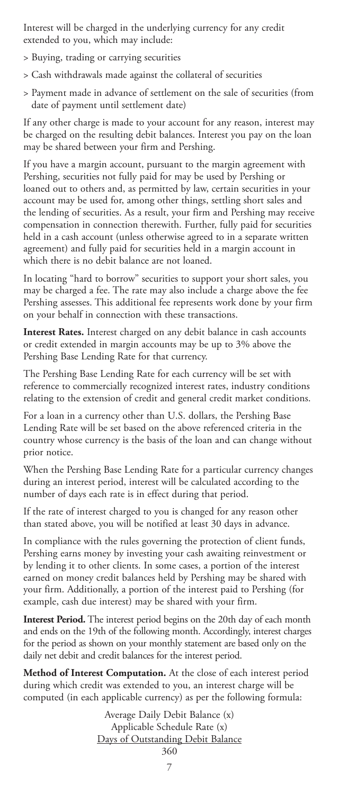Interest will be charged in the underlying currency for any credit extended to you, which may include:

- > Buying, trading or carrying securities
- > Cash withdrawals made against the collateral of securities
- > Payment made in advance of settlement on the sale of securities (from date of payment until settlement date)

If any other charge is made to your account for any reason, interest may be charged on the resulting debit balances. Interest you pay on the loan may be shared between your firm and Pershing.

If you have a margin account, pursuant to the margin agreement with Pershing, securities not fully paid for may be used by Pershing or loaned out to others and, as permitted by law, certain securities in your account may be used for, among other things, settling short sales and the lending of securities. As a result, your firm and Pershing may receive compensation in connection therewith. Further, fully paid for securities held in a cash account (unless otherwise agreed to in a separate written agreement) and fully paid for securities held in a margin account in which there is no debit balance are not loaned.

In locating "hard to borrow" securities to support your short sales, you may be charged a fee. The rate may also include a charge above the fee Pershing assesses. This additional fee represents work done by your firm on your behalf in connection with these transactions.

**Interest Rates.** Interest charged on any debit balance in cash accounts or credit extended in margin accounts may be up to 3% above the Pershing Base Lending Rate for that currency.

The Pershing Base Lending Rate for each currency will be set with reference to commercially recognized interest rates, industry conditions relating to the extension of credit and general credit market conditions.

For a loan in a currency other than U.S. dollars, the Pershing Base Lending Rate will be set based on the above referenced criteria in the country whose currency is the basis of the loan and can change without prior notice.

When the Pershing Base Lending Rate for a particular currency changes during an interest period, interest will be calculated according to the number of days each rate is in effect during that period.

If the rate of interest charged to you is changed for any reason other than stated above, you will be notified at least 30 days in advance.

In compliance with the rules governing the protection of client funds, Pershing earns money by investing your cash awaiting reinvestment or by lending it to other clients. In some cases, a portion of the interest earned on money credit balances held by Pershing may be shared with your firm. Additionally, a portion of the interest paid to Pershing (for example, cash due interest) may be shared with your firm.

**Interest Period.** The interest period begins on the 20th day of each month and ends on the 19th of the following month. Accordingly, interest charges for the period as shown on your monthly statement are based only on the daily net debit and credit balances for the interest period.

**Method of Interest Computation.** At the close of each interest period during which credit was extended to you, an interest charge will be computed (in each applicable currency) as per the following formula:

> Average Daily Debit Balance (x) Applicable Schedule Rate (x) Days of Outstanding Debit Balance 360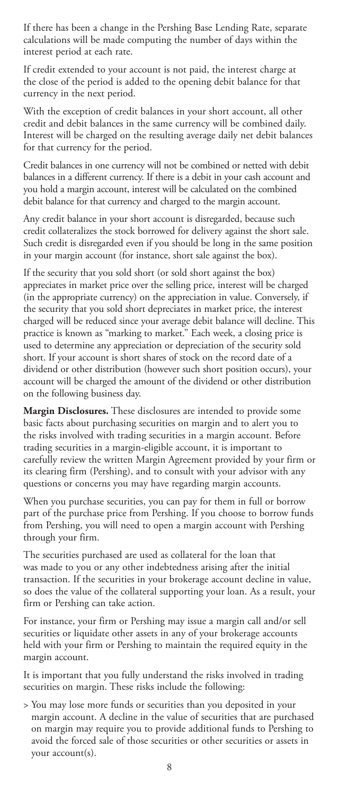If there has been a change in the Pershing Base Lending Rate, separate calculations will be made computing the number of days within the interest period at each rate.

If credit extended to your account is not paid, the interest charge at the close of the period is added to the opening debit balance for that currency in the next period.

With the exception of credit balances in your short account, all other credit and debit balances in the same currency will be combined daily. Interest will be charged on the resulting average daily net debit balances for that currency for the period.

Credit balances in one currency will not be combined or netted with debit balances in a different currency. If there is a debit in your cash account and you hold a margin account, interest will be calculated on the combined debit balance for that currency and charged to the margin account.

Any credit balance in your short account is disregarded, because such credit collateralizes the stock borrowed for delivery against the short sale. Such credit is disregarded even if you should be long in the same position in your margin account (for instance, short sale against the box).

If the security that you sold short (or sold short against the box) appreciates in market price over the selling price, interest will be charged (in the appropriate currency) on the appreciation in value. Conversely, if the security that you sold short depreciates in market price, the interest charged will be reduced since your average debit balance will decline. This practice is known as "marking to market." Each week, a closing price is used to determine any appreciation or depreciation of the security sold short. If your account is short shares of stock on the record date of a dividend or other distribution (however such short position occurs), your account will be charged the amount of the dividend or other distribution on the following business day.

**Margin Disclosures.** These disclosures are intended to provide some basic facts about purchasing securities on margin and to alert you to the risks involved with trading securities in a margin account. Before trading securities in a margin-eligible account, it is important to carefully review the written Margin Agreement provided by your firm or its clearing firm (Pershing), and to consult with your advisor with any questions or concerns you may have regarding margin accounts.

When you purchase securities, you can pay for them in full or borrow part of the purchase price from Pershing. If you choose to borrow funds from Pershing, you will need to open a margin account with Pershing through your firm.

The securities purchased are used as collateral for the loan that was made to you or any other indebtedness arising after the initial transaction. If the securities in your brokerage account decline in value, so does the value of the collateral supporting your loan. As a result, your firm or Pershing can take action.

For instance, your firm or Pershing may issue a margin call and/or sell securities or liquidate other assets in any of your brokerage accounts held with your firm or Pershing to maintain the required equity in the margin account.

It is important that you fully understand the risks involved in trading securities on margin. These risks include the following:

> You may lose more funds or securities than you deposited in your margin account. A decline in the value of securities that are purchased on margin may require you to provide additional funds to Pershing to avoid the forced sale of those securities or other securities or assets in your account(s).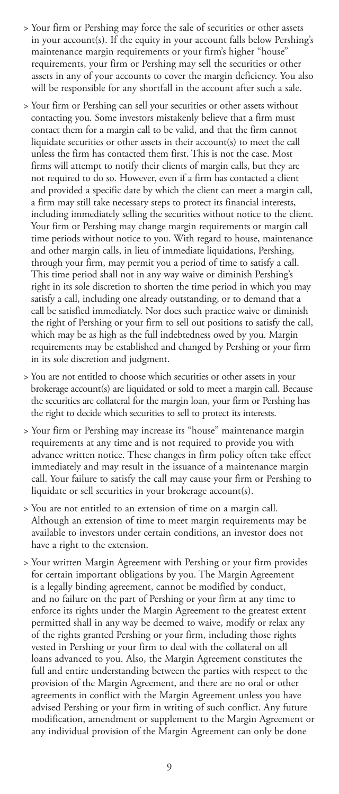- > Your firm or Pershing may force the sale of securities or other assets in your account(s). If the equity in your account falls below Pershing's maintenance margin requirements or your firm's higher "house" requirements, your firm or Pershing may sell the securities or other assets in any of your accounts to cover the margin deficiency. You also will be responsible for any shortfall in the account after such a sale.
- > Your firm or Pershing can sell your securities or other assets without contacting you. Some investors mistakenly believe that a firm must contact them for a margin call to be valid, and that the firm cannot liquidate securities or other assets in their account(s) to meet the call unless the firm has contacted them first. This is not the case. Most firms will attempt to notify their clients of margin calls, but they are not required to do so. However, even if a firm has contacted a client and provided a specific date by which the client can meet a margin call, a firm may still take necessary steps to protect its financial interests, including immediately selling the securities without notice to the client. Your firm or Pershing may change margin requirements or margin call time periods without notice to you. With regard to house, maintenance and other margin calls, in lieu of immediate liquidations, Pershing, through your firm, may permit you a period of time to satisfy a call. This time period shall not in any way waive or diminish Pershing's right in its sole discretion to shorten the time period in which you may satisfy a call, including one already outstanding, or to demand that a call be satisfied immediately. Nor does such practice waive or diminish the right of Pershing or your firm to sell out positions to satisfy the call, which may be as high as the full indebtedness owed by you. Margin requirements may be established and changed by Pershing or your firm in its sole discretion and judgment.
- > You are not entitled to choose which securities or other assets in your brokerage account(s) are liquidated or sold to meet a margin call. Because the securities are collateral for the margin loan, your firm or Pershing has the right to decide which securities to sell to protect its interests.
- > Your firm or Pershing may increase its "house" maintenance margin requirements at any time and is not required to provide you with advance written notice. These changes in firm policy often take effect immediately and may result in the issuance of a maintenance margin call. Your failure to satisfy the call may cause your firm or Pershing to liquidate or sell securities in your brokerage account(s).
- > You are not entitled to an extension of time on a margin call. Although an extension of time to meet margin requirements may be available to investors under certain conditions, an investor does not have a right to the extension.
- > Your written Margin Agreement with Pershing or your firm provides for certain important obligations by you. The Margin Agreement is a legally binding agreement, cannot be modified by conduct, and no failure on the part of Pershing or your firm at any time to enforce its rights under the Margin Agreement to the greatest extent permitted shall in any way be deemed to waive, modify or relax any of the rights granted Pershing or your firm, including those rights vested in Pershing or your firm to deal with the collateral on all loans advanced to you. Also, the Margin Agreement constitutes the full and entire understanding between the parties with respect to the provision of the Margin Agreement, and there are no oral or other agreements in conflict with the Margin Agreement unless you have advised Pershing or your firm in writing of such conflict. Any future modification, amendment or supplement to the Margin Agreement or any individual provision of the Margin Agreement can only be done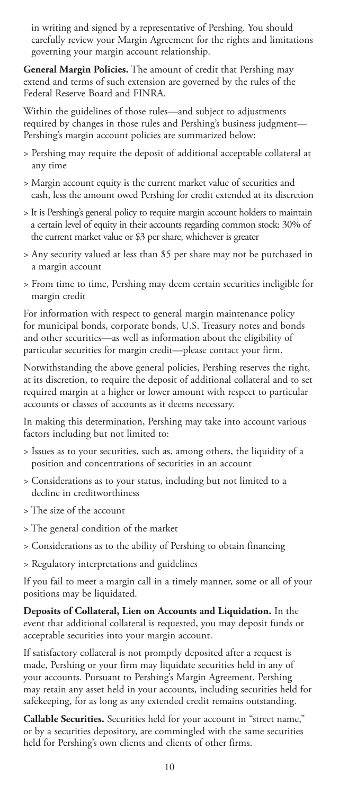in writing and signed by a representative of Pershing. You should carefully review your Margin Agreement for the rights and limitations governing your margin account relationship.

**General Margin Policies.** The amount of credit that Pershing may extend and terms of such extension are governed by the rules of the Federal Reserve Board and FINRA.

Within the guidelines of those rules—and subject to adjustments required by changes in those rules and Pershing's business judgment— Pershing's margin account policies are summarized below:

- > Pershing may require the deposit of additional acceptable collateral at any time
- > Margin account equity is the current market value of securities and cash, less the amount owed Pershing for credit extended at its discretion
- > It is Pershing's general policy to require margin account holders to maintain a certain level of equity in their accounts regarding common stock: 30% of the current market value or \$3 per share, whichever is greater
- > Any security valued at less than \$5 per share may not be purchased in a margin account
- > From time to time, Pershing may deem certain securities ineligible for margin credit

For information with respect to general margin maintenance policy for municipal bonds, corporate bonds, U.S. Treasury notes and bonds and other securities—as well as information about the eligibility of particular securities for margin credit—please contact your firm.

Notwithstanding the above general policies, Pershing reserves the right, at its discretion, to require the deposit of additional collateral and to set required margin at a higher or lower amount with respect to particular accounts or classes of accounts as it deems necessary.

In making this determination, Pershing may take into account various factors including but not limited to:

- > Issues as to your securities, such as, among others, the liquidity of a position and concentrations of securities in an account
- > Considerations as to your status, including but not limited to a decline in creditworthiness
- > The size of the account
- > The general condition of the market
- > Considerations as to the ability of Pershing to obtain financing
- > Regulatory interpretations and guidelines

If you fail to meet a margin call in a timely manner, some or all of your positions may be liquidated.

**Deposits of Collateral, Lien on Accounts and Liquidation.** In the event that additional collateral is requested, you may deposit funds or acceptable securities into your margin account.

If satisfactory collateral is not promptly deposited after a request is made, Pershing or your firm may liquidate securities held in any of your accounts. Pursuant to Pershing's Margin Agreement, Pershing may retain any asset held in your accounts, including securities held for safekeeping, for as long as any extended credit remains outstanding.

**Callable Securities.** Securities held for your account in "street name," or by a securities depository, are commingled with the same securities held for Pershing's own clients and clients of other firms.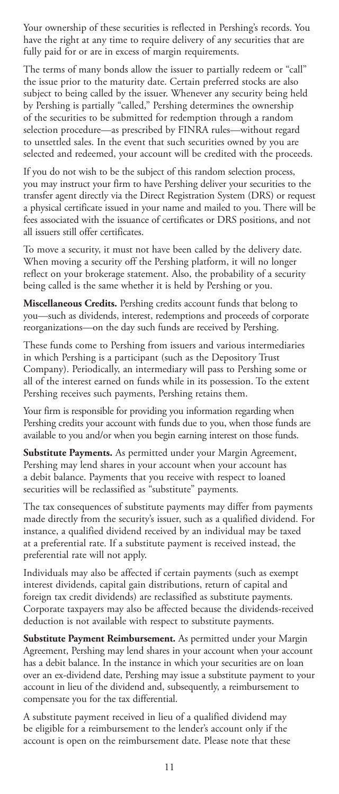Your ownership of these securities is reflected in Pershing's records. You have the right at any time to require delivery of any securities that are fully paid for or are in excess of margin requirements.

The terms of many bonds allow the issuer to partially redeem or "call" the issue prior to the maturity date. Certain preferred stocks are also subject to being called by the issuer. Whenever any security being held by Pershing is partially "called," Pershing determines the ownership of the securities to be submitted for redemption through a random selection procedure—as prescribed by FINRA rules—without regard to unsettled sales. In the event that such securities owned by you are selected and redeemed, your account will be credited with the proceeds.

If you do not wish to be the subject of this random selection process, you may instruct your firm to have Pershing deliver your securities to the transfer agent directly via the Direct Registration System (DRS) or request a physical certificate issued in your name and mailed to you. There will be fees associated with the issuance of certificates or DRS positions, and not all issuers still offer certificates.

To move a security, it must not have been called by the delivery date. When moving a security off the Pershing platform, it will no longer reflect on your brokerage statement. Also, the probability of a security being called is the same whether it is held by Pershing or you.

**Miscellaneous Credits.** Pershing credits account funds that belong to you—such as dividends, interest, redemptions and proceeds of corporate reorganizations—on the day such funds are received by Pershing.

These funds come to Pershing from issuers and various intermediaries in which Pershing is a participant (such as the Depository Trust Company). Periodically, an intermediary will pass to Pershing some or all of the interest earned on funds while in its possession. To the extent Pershing receives such payments, Pershing retains them.

Your firm is responsible for providing you information regarding when Pershing credits your account with funds due to you, when those funds are available to you and/or when you begin earning interest on those funds.

**Substitute Payments.** As permitted under your Margin Agreement, Pershing may lend shares in your account when your account has a debit balance. Payments that you receive with respect to loaned securities will be reclassified as "substitute" payments.

The tax consequences of substitute payments may differ from payments made directly from the security's issuer, such as a qualified dividend. For instance, a qualified dividend received by an individual may be taxed at a preferential rate. If a substitute payment is received instead, the preferential rate will not apply.

Individuals may also be affected if certain payments (such as exempt interest dividends, capital gain distributions, return of capital and foreign tax credit dividends) are reclassified as substitute payments. Corporate taxpayers may also be affected because the dividends-received deduction is not available with respect to substitute payments.

**Substitute Payment Reimbursement.** As permitted under your Margin Agreement, Pershing may lend shares in your account when your account has a debit balance. In the instance in which your securities are on loan over an ex-dividend date, Pershing may issue a substitute payment to your account in lieu of the dividend and, subsequently, a reimbursement to compensate you for the tax differential.

A substitute payment received in lieu of a qualified dividend may be eligible for a reimbursement to the lender's account only if the account is open on the reimbursement date. Please note that these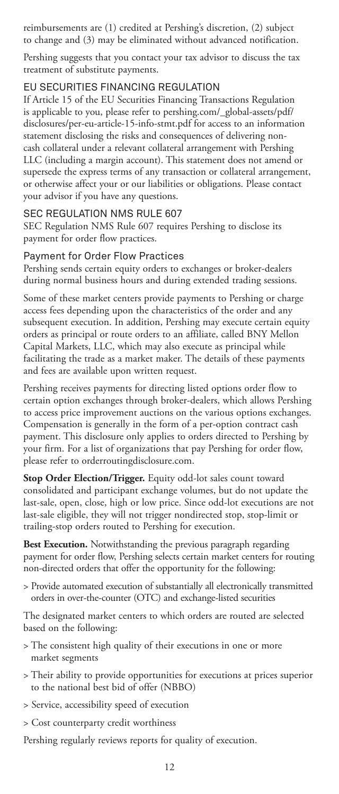reimbursements are (1) credited at Pershing's discretion, (2) subject to change and (3) may be eliminated without advanced notification.

Pershing suggests that you contact your tax advisor to discuss the tax treatment of substitute payments.

### EU SECURITIES FINANCING REGULATION

If Article 15 of the EU Securities Financing Transactions Regulation is applicable to you, please refer to pershing.com/\_global-assets/pdf/ disclosures/per-eu-article-15-info-stmt.pdf for access to an information statement disclosing the risks and consequences of delivering noncash collateral under a relevant collateral arrangement with Pershing LLC (including a margin account). This statement does not amend or supersede the express terms of any transaction or collateral arrangement, or otherwise affect your or our liabilities or obligations. Please contact your advisor if you have any questions.

### SEC REGULATION NMS RULE 607

SEC Regulation NMS Rule 607 requires Pershing to disclose its payment for order flow practices.

### Payment for Order Flow Practices

Pershing sends certain equity orders to exchanges or broker-dealers during normal business hours and during extended trading sessions.

Some of these market centers provide payments to Pershing or charge access fees depending upon the characteristics of the order and any subsequent execution. In addition, Pershing may execute certain equity orders as principal or route orders to an affiliate, called BNY Mellon Capital Markets, LLC, which may also execute as principal while facilitating the trade as a market maker. The details of these payments and fees are available upon written request.

Pershing receives payments for directing listed options order flow to certain option exchanges through broker-dealers, which allows Pershing to access price improvement auctions on the various options exchanges. Compensation is generally in the form of a per-option contract cash payment. This disclosure only applies to orders directed to Pershing by your firm. For a list of organizations that pay Pershing for order flow, please refer to orderroutingdisclosure.com.

**Stop Order Election/Trigger.** Equity odd-lot sales count toward consolidated and participant exchange volumes, but do not update the last-sale, open, close, high or low price. Since odd-lot executions are not last-sale eligible, they will not trigger nondirected stop, stop-limit or trailing-stop orders routed to Pershing for execution.

**Best Execution.** Notwithstanding the previous paragraph regarding payment for order flow, Pershing selects certain market centers for routing non-directed orders that offer the opportunity for the following:

> Provide automated execution of substantially all electronically transmitted orders in over-the-counter (OTC) and exchange-listed securities

The designated market centers to which orders are routed are selected based on the following:

- > The consistent high quality of their executions in one or more market segments
- > Their ability to provide opportunities for executions at prices superior to the national best bid of offer (NBBO)
- > Service, accessibility speed of execution
- > Cost counterparty credit worthiness

Pershing regularly reviews reports for quality of execution.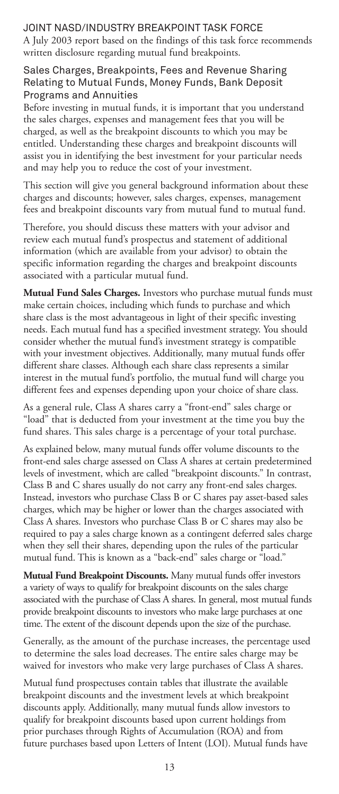# JOINT NASD/INDUSTRY BREAKPOINT TASK FORCE

A July 2003 report based on the findings of this task force recommends written disclosure regarding mutual fund breakpoints.

# Sales Charges, Breakpoints, Fees and Revenue Sharing Relating to Mutual Funds, Money Funds, Bank Deposit Programs and Annuities

Before investing in mutual funds, it is important that you understand the sales charges, expenses and management fees that you will be charged, as well as the breakpoint discounts to which you may be entitled. Understanding these charges and breakpoint discounts will assist you in identifying the best investment for your particular needs and may help you to reduce the cost of your investment.

This section will give you general background information about these charges and discounts; however, sales charges, expenses, management fees and breakpoint discounts vary from mutual fund to mutual fund.

Therefore, you should discuss these matters with your advisor and review each mutual fund's prospectus and statement of additional information (which are available from your advisor) to obtain the specific information regarding the charges and breakpoint discounts associated with a particular mutual fund.

**Mutual Fund Sales Charges.** Investors who purchase mutual funds must make certain choices, including which funds to purchase and which share class is the most advantageous in light of their specific investing needs. Each mutual fund has a specified investment strategy. You should consider whether the mutual fund's investment strategy is compatible with your investment objectives. Additionally, many mutual funds offer different share classes. Although each share class represents a similar interest in the mutual fund's portfolio, the mutual fund will charge you different fees and expenses depending upon your choice of share class.

As a general rule, Class A shares carry a "front-end" sales charge or "load" that is deducted from your investment at the time you buy the fund shares. This sales charge is a percentage of your total purchase.

As explained below, many mutual funds offer volume discounts to the front-end sales charge assessed on Class A shares at certain predetermined levels of investment, which are called "breakpoint discounts." In contrast, Class B and C shares usually do not carry any front-end sales charges. Instead, investors who purchase Class B or C shares pay asset-based sales charges, which may be higher or lower than the charges associated with Class A shares. Investors who purchase Class B or C shares may also be required to pay a sales charge known as a contingent deferred sales charge when they sell their shares, depending upon the rules of the particular mutual fund. This is known as a "back-end" sales charge or "load."

**Mutual Fund Breakpoint Discounts.** Many mutual funds offer investors a variety of ways to qualify for breakpoint discounts on the sales charge associated with the purchase of Class A shares. In general, most mutual funds provide breakpoint discounts to investors who make large purchases at one time. The extent of the discount depends upon the size of the purchase.

Generally, as the amount of the purchase increases, the percentage used to determine the sales load decreases. The entire sales charge may be waived for investors who make very large purchases of Class A shares.

Mutual fund prospectuses contain tables that illustrate the available breakpoint discounts and the investment levels at which breakpoint discounts apply. Additionally, many mutual funds allow investors to qualify for breakpoint discounts based upon current holdings from prior purchases through Rights of Accumulation (ROA) and from future purchases based upon Letters of Intent (LOI). Mutual funds have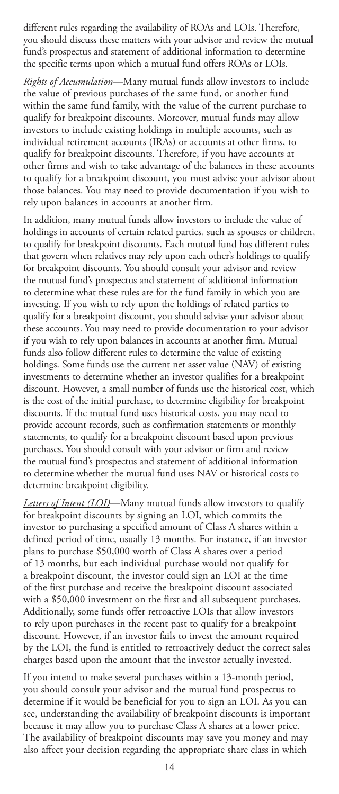different rules regarding the availability of ROAs and LOIs. Therefore, you should discuss these matters with your advisor and review the mutual fund's prospectus and statement of additional information to determine the specific terms upon which a mutual fund offers ROAs or LOIs.

*Rights of Accumulation*—Many mutual funds allow investors to include the value of previous purchases of the same fund, or another fund within the same fund family, with the value of the current purchase to qualify for breakpoint discounts. Moreover, mutual funds may allow investors to include existing holdings in multiple accounts, such as individual retirement accounts (IRAs) or accounts at other firms, to qualify for breakpoint discounts. Therefore, if you have accounts at other firms and wish to take advantage of the balances in these accounts to qualify for a breakpoint discount, you must advise your advisor about those balances. You may need to provide documentation if you wish to rely upon balances in accounts at another firm.

In addition, many mutual funds allow investors to include the value of holdings in accounts of certain related parties, such as spouses or children, to qualify for breakpoint discounts. Each mutual fund has different rules that govern when relatives may rely upon each other's holdings to qualify for breakpoint discounts. You should consult your advisor and review the mutual fund's prospectus and statement of additional information to determine what these rules are for the fund family in which you are investing. If you wish to rely upon the holdings of related parties to qualify for a breakpoint discount, you should advise your advisor about these accounts. You may need to provide documentation to your advisor if you wish to rely upon balances in accounts at another firm. Mutual funds also follow different rules to determine the value of existing holdings. Some funds use the current net asset value (NAV) of existing investments to determine whether an investor qualifies for a breakpoint discount. However, a small number of funds use the historical cost, which is the cost of the initial purchase, to determine eligibility for breakpoint discounts. If the mutual fund uses historical costs, you may need to provide account records, such as confirmation statements or monthly statements, to qualify for a breakpoint discount based upon previous purchases. You should consult with your advisor or firm and review the mutual fund's prospectus and statement of additional information to determine whether the mutual fund uses NAV or historical costs to determine breakpoint eligibility.

*Letters of Intent (LOI)*—Many mutual funds allow investors to qualify for breakpoint discounts by signing an LOI, which commits the investor to purchasing a specified amount of Class A shares within a defined period of time, usually 13 months. For instance, if an investor plans to purchase \$50,000 worth of Class A shares over a period of 13 months, but each individual purchase would not qualify for a breakpoint discount, the investor could sign an LOI at the time of the first purchase and receive the breakpoint discount associated with a \$50,000 investment on the first and all subsequent purchases. Additionally, some funds offer retroactive LOIs that allow investors to rely upon purchases in the recent past to qualify for a breakpoint discount. However, if an investor fails to invest the amount required by the LOI, the fund is entitled to retroactively deduct the correct sales charges based upon the amount that the investor actually invested.

If you intend to make several purchases within a 13-month period, you should consult your advisor and the mutual fund prospectus to determine if it would be beneficial for you to sign an LOI. As you can see, understanding the availability of breakpoint discounts is important because it may allow you to purchase Class A shares at a lower price. The availability of breakpoint discounts may save you money and may also affect your decision regarding the appropriate share class in which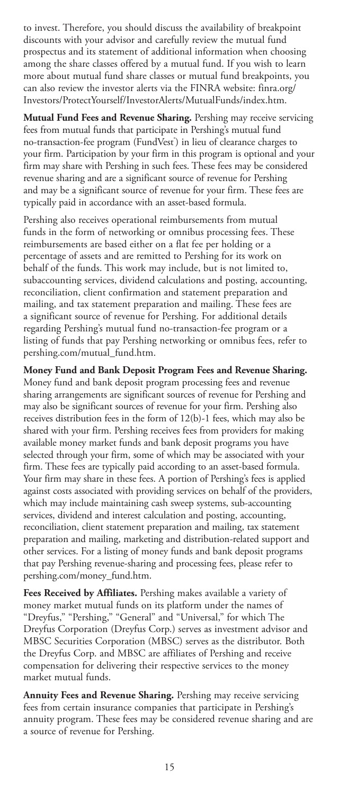to invest. Therefore, you should discuss the availability of breakpoint discounts with your advisor and carefully review the mutual fund prospectus and its statement of additional information when choosing among the share classes offered by a mutual fund. If you wish to learn more about mutual fund share classes or mutual fund breakpoints, you can also review the investor alerts via the FINRA website: finra.org/ Investors/ProtectYourself/InvestorAlerts/MutualFunds/index.htm.

**Mutual Fund Fees and Revenue Sharing.** Pershing may receive servicing fees from mutual funds that participate in Pershing's mutual fund no-transaction-fee program (FundVest<sup>\*</sup>) in lieu of clearance charges to your firm. Participation by your firm in this program is optional and your firm may share with Pershing in such fees. These fees may be considered revenue sharing and are a significant source of revenue for Pershing and may be a significant source of revenue for your firm. These fees are typically paid in accordance with an asset-based formula.

Pershing also receives operational reimbursements from mutual funds in the form of networking or omnibus processing fees. These reimbursements are based either on a flat fee per holding or a percentage of assets and are remitted to Pershing for its work on behalf of the funds. This work may include, but is not limited to, subaccounting services, dividend calculations and posting, accounting, reconciliation, client confirmation and statement preparation and mailing, and tax statement preparation and mailing. These fees are a significant source of revenue for Pershing. For additional details regarding Pershing's mutual fund no-transaction-fee program or a listing of funds that pay Pershing networking or omnibus fees, refer to pershing.com/mutual\_fund.htm.

**Money Fund and Bank Deposit Program Fees and Revenue Sharing.** Money fund and bank deposit program processing fees and revenue sharing arrangements are significant sources of revenue for Pershing and may also be significant sources of revenue for your firm. Pershing also receives distribution fees in the form of 12(b)-1 fees, which may also be shared with your firm. Pershing receives fees from providers for making available money market funds and bank deposit programs you have selected through your firm, some of which may be associated with your firm. These fees are typically paid according to an asset-based formula. Your firm may share in these fees. A portion of Pershing's fees is applied against costs associated with providing services on behalf of the providers, which may include maintaining cash sweep systems, sub-accounting services, dividend and interest calculation and posting, accounting, reconciliation, client statement preparation and mailing, tax statement preparation and mailing, marketing and distribution-related support and other services. For a listing of money funds and bank deposit programs that pay Pershing revenue-sharing and processing fees, please refer to pershing.com/money\_fund.htm.

**Fees Received by Affiliates.** Pershing makes available a variety of money market mutual funds on its platform under the names of "Dreyfus," "Pershing," "General" and "Universal," for which The Dreyfus Corporation (Dreyfus Corp.) serves as investment advisor and MBSC Securities Corporation (MBSC) serves as the distributor. Both the Dreyfus Corp. and MBSC are affiliates of Pershing and receive compensation for delivering their respective services to the money market mutual funds.

**Annuity Fees and Revenue Sharing.** Pershing may receive servicing fees from certain insurance companies that participate in Pershing's annuity program. These fees may be considered revenue sharing and are a source of revenue for Pershing.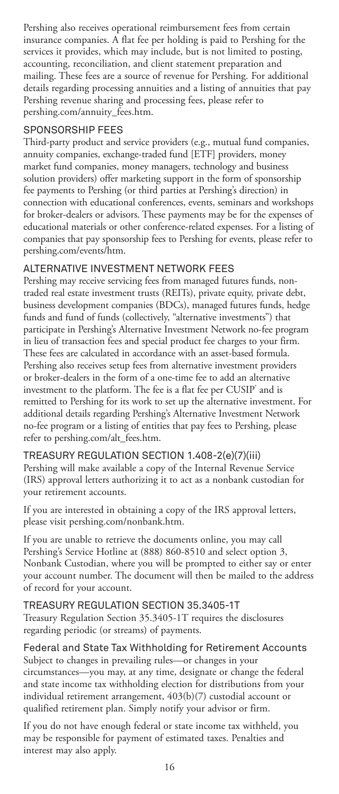Pershing also receives operational reimbursement fees from certain insurance companies. A flat fee per holding is paid to Pershing for the services it provides, which may include, but is not limited to posting, accounting, reconciliation, and client statement preparation and mailing. These fees are a source of revenue for Pershing. For additional details regarding processing annuities and a listing of annuities that pay Pershing revenue sharing and processing fees, please refer to pershing.com/annuity\_fees.htm.

### SPONSORSHIP FEES

Third-party product and service providers (e.g., mutual fund companies, annuity companies, exchange-traded fund [ETF] providers, money market fund companies, money managers, technology and business solution providers) offer marketing support in the form of sponsorship fee payments to Pershing (or third parties at Pershing's direction) in connection with educational conferences, events, seminars and workshops for broker-dealers or advisors. These payments may be for the expenses of educational materials or other conference-related expenses. For a listing of companies that pay sponsorship fees to Pershing for events, please refer to pershing.com/events/htm.

# ALTERNATIVE INVESTMENT NETWORK FEES

Pershing may receive servicing fees from managed futures funds, nontraded real estate investment trusts (REITs), private equity, private debt, business development companies (BDCs), managed futures funds, hedge funds and fund of funds (collectively, "alternative investments") that participate in Pershing's Alternative Investment Network no-fee program in lieu of transaction fees and special product fee charges to your firm. These fees are calculated in accordance with an asset-based formula. Pershing also receives setup fees from alternative investment providers or broker-dealers in the form of a one-time fee to add an alternative investment to the platform. The fee is a flat fee per CUSIP $^\circ$  and is remitted to Pershing for its work to set up the alternative investment. For additional details regarding Pershing's Alternative Investment Network no-fee program or a listing of entities that pay fees to Pershing, please refer to pershing.com/alt\_fees.htm.

#### TREASURY REGULATION SECTION 1.408-2(e)(7)(iii)

Pershing will make available a copy of the Internal Revenue Service (IRS) approval letters authorizing it to act as a nonbank custodian for your retirement accounts.

If you are interested in obtaining a copy of the IRS approval letters, please visit pershing.com/nonbank.htm.

If you are unable to retrieve the documents online, you may call Pershing's Service Hotline at (888) 860-8510 and select option 3, Nonbank Custodian, where you will be prompted to either say or enter your account number. The document will then be mailed to the address of record for your account.

#### TREASURY REGULATION SECTION 35.3405-1T

Treasury Regulation Section 35.3405-1T requires the disclosures regarding periodic (or streams) of payments.

# Federal and State Tax Withholding for Retirement Accounts

Subject to changes in prevailing rules—or changes in your circumstances—you may, at any time, designate or change the federal and state income tax withholding election for distributions from your individual retirement arrangement, 403(b)(7) custodial account or qualified retirement plan. Simply notify your advisor or firm.

If you do not have enough federal or state income tax withheld, you may be responsible for payment of estimated taxes. Penalties and interest may also apply.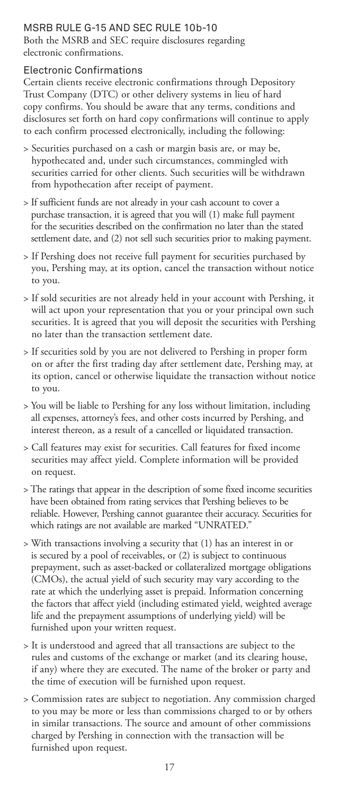# MSRB RULE G-15 AND SEC RULE 10b-10

Both the MSRB and SEC require disclosures regarding electronic confirmations.

# Electronic Confirmations

Certain clients receive electronic confirmations through Depository Trust Company (DTC) or other delivery systems in lieu of hard copy confirms. You should be aware that any terms, conditions and disclosures set forth on hard copy confirmations will continue to apply to each confirm processed electronically, including the following:

- > Securities purchased on a cash or margin basis are, or may be, hypothecated and, under such circumstances, commingled with securities carried for other clients. Such securities will be withdrawn from hypothecation after receipt of payment.
- > If sufficient funds are not already in your cash account to cover a purchase transaction, it is agreed that you will (1) make full payment for the securities described on the confirmation no later than the stated settlement date, and (2) not sell such securities prior to making payment.
- > If Pershing does not receive full payment for securities purchased by you, Pershing may, at its option, cancel the transaction without notice to you.
- > If sold securities are not already held in your account with Pershing, it will act upon your representation that you or your principal own such securities. It is agreed that you will deposit the securities with Pershing no later than the transaction settlement date.
- > If securities sold by you are not delivered to Pershing in proper form on or after the first trading day after settlement date, Pershing may, at its option, cancel or otherwise liquidate the transaction without notice to you.
- > You will be liable to Pershing for any loss without limitation, including all expenses, attorney's fees, and other costs incurred by Pershing, and interest thereon, as a result of a cancelled or liquidated transaction.
- > Call features may exist for securities. Call features for fixed income securities may affect yield. Complete information will be provided on request.
- > The ratings that appear in the description of some fixed income securities have been obtained from rating services that Pershing believes to be reliable. However, Pershing cannot guarantee their accuracy. Securities for which ratings are not available are marked "UNRATED."
- > With transactions involving a security that (1) has an interest in or is secured by a pool of receivables, or (2) is subject to continuous prepayment, such as asset-backed or collateralized mortgage obligations (CMOs), the actual yield of such security may vary according to the rate at which the underlying asset is prepaid. Information concerning the factors that affect yield (including estimated yield, weighted average life and the prepayment assumptions of underlying yield) will be furnished upon your written request.
- > It is understood and agreed that all transactions are subject to the rules and customs of the exchange or market (and its clearing house, if any) where they are executed. The name of the broker or party and the time of execution will be furnished upon request.
- > Commission rates are subject to negotiation. Any commission charged to you may be more or less than commissions charged to or by others in similar transactions. The source and amount of other commissions charged by Pershing in connection with the transaction will be furnished upon request.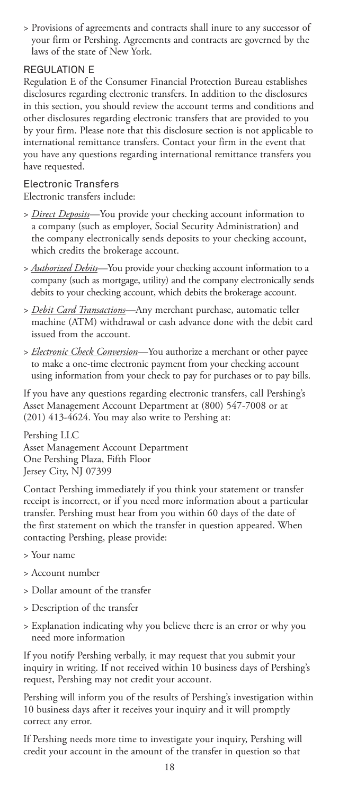> Provisions of agreements and contracts shall inure to any successor of your firm or Pershing. Agreements and contracts are governed by the laws of the state of New York.

# REGULATION F

Regulation E of the Consumer Financial Protection Bureau establishes disclosures regarding electronic transfers. In addition to the disclosures in this section, you should review the account terms and conditions and other disclosures regarding electronic transfers that are provided to you by your firm. Please note that this disclosure section is not applicable to international remittance transfers. Contact your firm in the event that you have any questions regarding international remittance transfers you have requested.

# Electronic Transfers

Electronic transfers include:

- > *Direct Deposits*—You provide your checking account information to a company (such as employer, Social Security Administration) and the company electronically sends deposits to your checking account, which credits the brokerage account.
- > *Authorized Debits*—You provide your checking account information to a company (such as mortgage, utility) and the company electronically sends debits to your checking account, which debits the brokerage account.
- > *Debit Card Transactions*—Any merchant purchase, automatic teller machine (ATM) withdrawal or cash advance done with the debit card issued from the account.
- > *Electronic Check Conversion*—You authorize a merchant or other payee to make a one-time electronic payment from your checking account using information from your check to pay for purchases or to pay bills.

If you have any questions regarding electronic transfers, call Pershing's Asset Management Account Department at (800) 547-7008 or at (201) 413-4624. You may also write to Pershing at:

Pershing LLC Asset Management Account Department One Pershing Plaza, Fifth Floor Jersey City, NJ 07399

Contact Pershing immediately if you think your statement or transfer receipt is incorrect, or if you need more information about a particular transfer. Pershing must hear from you within 60 days of the date of the first statement on which the transfer in question appeared. When contacting Pershing, please provide:

- > Your name
- > Account number
- > Dollar amount of the transfer
- > Description of the transfer
- > Explanation indicating why you believe there is an error or why you need more information

If you notify Pershing verbally, it may request that you submit your inquiry in writing. If not received within 10 business days of Pershing's request, Pershing may not credit your account.

Pershing will inform you of the results of Pershing's investigation within 10 business days after it receives your inquiry and it will promptly correct any error.

If Pershing needs more time to investigate your inquiry, Pershing will credit your account in the amount of the transfer in question so that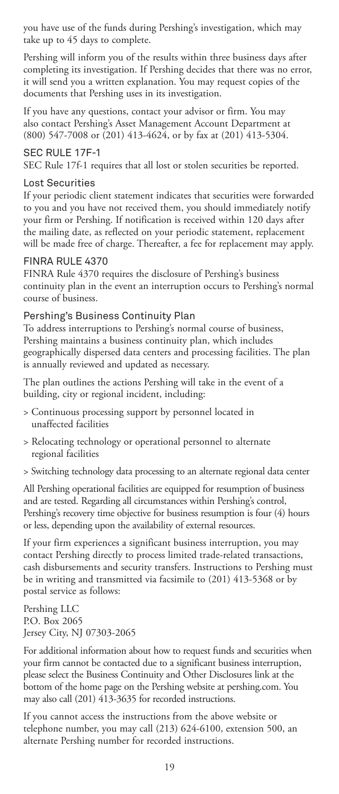you have use of the funds during Pershing's investigation, which may take up to 45 days to complete.

Pershing will inform you of the results within three business days after completing its investigation. If Pershing decides that there was no error, it will send you a written explanation. You may request copies of the documents that Pershing uses in its investigation.

If you have any questions, contact your advisor or firm. You may also contact Pershing's Asset Management Account Department at (800) 547-7008 or (201) 413-4624, or by fax at (201) 413-5304.

#### SEC RULE 17F-1

SEC Rule 17f-1 requires that all lost or stolen securities be reported.

### Lost Securities

If your periodic client statement indicates that securities were forwarded to you and you have not received them, you should immediately notify your firm or Pershing. If notification is received within 120 days after the mailing date, as reflected on your periodic statement, replacement will be made free of charge. Thereafter, a fee for replacement may apply.

#### FINRA RULE 4370

FINRA Rule 4370 requires the disclosure of Pershing's business continuity plan in the event an interruption occurs to Pershing's normal course of business.

### Pershing's Business Continuity Plan

To address interruptions to Pershing's normal course of business, Pershing maintains a business continuity plan, which includes geographically dispersed data centers and processing facilities. The plan is annually reviewed and updated as necessary.

The plan outlines the actions Pershing will take in the event of a building, city or regional incident, including:

- > Continuous processing support by personnel located in unaffected facilities
- > Relocating technology or operational personnel to alternate regional facilities
- > Switching technology data processing to an alternate regional data center

All Pershing operational facilities are equipped for resumption of business and are tested. Regarding all circumstances within Pershing's control, Pershing's recovery time objective for business resumption is four (4) hours or less, depending upon the availability of external resources.

If your firm experiences a significant business interruption, you may contact Pershing directly to process limited trade-related transactions, cash disbursements and security transfers. Instructions to Pershing must be in writing and transmitted via facsimile to (201) 413-5368 or by postal service as follows:

Pershing LLC P.O. Box 2065 Jersey City, NJ 07303-2065

For additional information about how to request funds and securities when your firm cannot be contacted due to a significant business interruption, please select the Business Continuity and Other Disclosures link at the bottom of the home page on the Pershing website at pershing.com. You may also call (201) 413-3635 for recorded instructions.

If you cannot access the instructions from the above website or telephone number, you may call (213) 624-6100, extension 500, an alternate Pershing number for recorded instructions.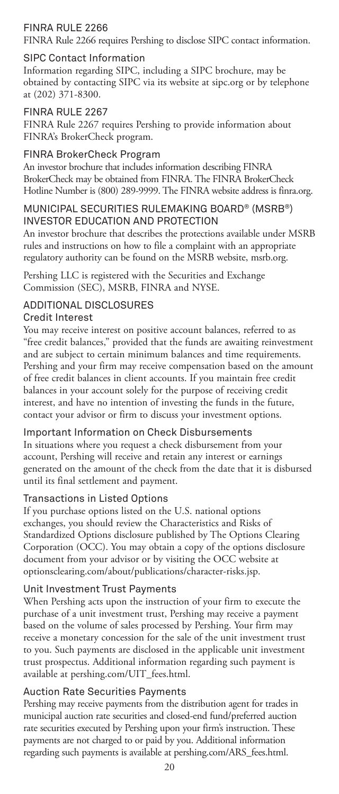# FINRA RULE 2266

FINRA Rule 2266 requires Pershing to disclose SIPC contact information.

# SIPC Contact Information

Information regarding SIPC, including a SIPC brochure, may be obtained by contacting SIPC via its website at sipc.org or by telephone at (202) 371-8300.

# FINRA RULE 2267

FINRA Rule 2267 requires Pershing to provide information about FINRA's BrokerCheck program.

# FINRA BrokerCheck Program

An investor brochure that includes information describing FINRA BrokerCheck may be obtained from FINRA. The FINRA BrokerCheck Hotline Number is (800) 289-9999. The FINRA website address is finra.org.

# MUNICIPAL SECURITIES RULEMAKING BOARD® (MSRB®) INVESTOR EDUCATION AND PROTECTION

An investor brochure that describes the protections available under MSRB rules and instructions on how to file a complaint with an appropriate regulatory authority can be found on the MSRB website, msrb.org.

Pershing LLC is registered with the Securities and Exchange Commission (SEC), MSRB, FINRA and NYSE.

# ADDITIONAL DISCLOSURES

# Credit Interest

You may receive interest on positive account balances, referred to as "free credit balances," provided that the funds are awaiting reinvestment and are subject to certain minimum balances and time requirements. Pershing and your firm may receive compensation based on the amount of free credit balances in client accounts. If you maintain free credit balances in your account solely for the purpose of receiving credit interest, and have no intention of investing the funds in the future, contact your advisor or firm to discuss your investment options.

# Important Information on Check Disbursements

In situations where you request a check disbursement from your account, Pershing will receive and retain any interest or earnings generated on the amount of the check from the date that it is disbursed until its final settlement and payment.

# Transactions in Listed Options

If you purchase options listed on the U.S. national options exchanges, you should review the Characteristics and Risks of Standardized Options disclosure published by The Options Clearing Corporation (OCC). You may obtain a copy of the options disclosure document from your advisor or by visiting the OCC website at optionsclearing.com/about/publications/character-risks.jsp.

# Unit Investment Trust Payments

When Pershing acts upon the instruction of your firm to execute the purchase of a unit investment trust, Pershing may receive a payment based on the volume of sales processed by Pershing. Your firm may receive a monetary concession for the sale of the unit investment trust to you. Such payments are disclosed in the applicable unit investment trust prospectus. Additional information regarding such payment is available at pershing.com/UIT\_fees.html.

# Auction Rate Securities Payments

Pershing may receive payments from the distribution agent for trades in municipal auction rate securities and closed-end fund/preferred auction rate securities executed by Pershing upon your firm's instruction. These payments are not charged to or paid by you. Additional information regarding such payments is available at pershing.com/ARS\_fees.html.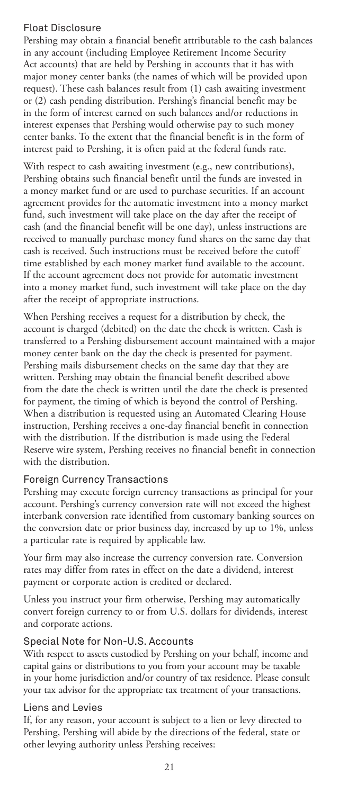# Float Disclosure

Pershing may obtain a financial benefit attributable to the cash balances in any account (including Employee Retirement Income Security Act accounts) that are held by Pershing in accounts that it has with major money center banks (the names of which will be provided upon request). These cash balances result from (1) cash awaiting investment or (2) cash pending distribution. Pershing's financial benefit may be in the form of interest earned on such balances and/or reductions in interest expenses that Pershing would otherwise pay to such money center banks. To the extent that the financial benefit is in the form of interest paid to Pershing, it is often paid at the federal funds rate.

With respect to cash awaiting investment (e.g., new contributions), Pershing obtains such financial benefit until the funds are invested in a money market fund or are used to purchase securities. If an account agreement provides for the automatic investment into a money market fund, such investment will take place on the day after the receipt of cash (and the financial benefit will be one day), unless instructions are received to manually purchase money fund shares on the same day that cash is received. Such instructions must be received before the cutoff time established by each money market fund available to the account. If the account agreement does not provide for automatic investment into a money market fund, such investment will take place on the day after the receipt of appropriate instructions.

When Pershing receives a request for a distribution by check, the account is charged (debited) on the date the check is written. Cash is transferred to a Pershing disbursement account maintained with a major money center bank on the day the check is presented for payment. Pershing mails disbursement checks on the same day that they are written. Pershing may obtain the financial benefit described above from the date the check is written until the date the check is presented for payment, the timing of which is beyond the control of Pershing. When a distribution is requested using an Automated Clearing House instruction, Pershing receives a one-day financial benefit in connection with the distribution. If the distribution is made using the Federal Reserve wire system, Pershing receives no financial benefit in connection with the distribution.

# Foreign Currency Transactions

Pershing may execute foreign currency transactions as principal for your account. Pershing's currency conversion rate will not exceed the highest interbank conversion rate identified from customary banking sources on the conversion date or prior business day, increased by up to 1%, unless a particular rate is required by applicable law.

Your firm may also increase the currency conversion rate. Conversion rates may differ from rates in effect on the date a dividend, interest payment or corporate action is credited or declared.

Unless you instruct your firm otherwise, Pershing may automatically convert foreign currency to or from U.S. dollars for dividends, interest and corporate actions.

# Special Note for Non-U.S. Accounts

With respect to assets custodied by Pershing on your behalf, income and capital gains or distributions to you from your account may be taxable in your home jurisdiction and/or country of tax residence. Please consult your tax advisor for the appropriate tax treatment of your transactions.

#### Liens and Levies

If, for any reason, your account is subject to a lien or levy directed to Pershing, Pershing will abide by the directions of the federal, state or other levying authority unless Pershing receives: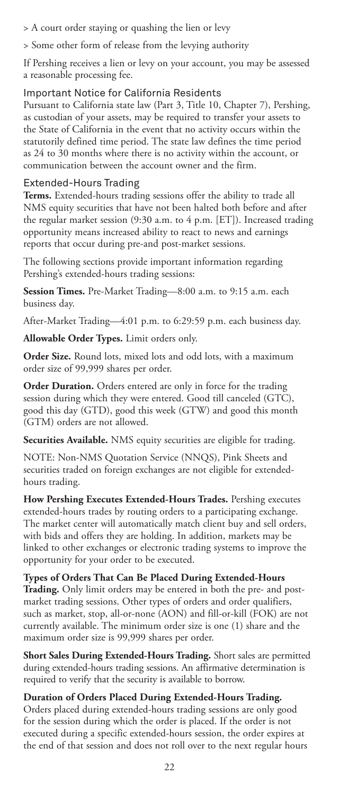> A court order staying or quashing the lien or levy

> Some other form of release from the levying authority

If Pershing receives a lien or levy on your account, you may be assessed a reasonable processing fee.

### Important Notice for California Residents

Pursuant to California state law (Part 3, Title 10, Chapter 7), Pershing, as custodian of your assets, may be required to transfer your assets to the State of California in the event that no activity occurs within the statutorily defined time period. The state law defines the time period as 24 to 30 months where there is no activity within the account, or communication between the account owner and the firm.

# Extended-Hours Trading

**Terms.** Extended-hours trading sessions offer the ability to trade all NMS equity securities that have not been halted both before and after the regular market session (9:30 a.m. to 4 p.m. [ET]). Increased trading opportunity means increased ability to react to news and earnings reports that occur during pre-and post-market sessions.

The following sections provide important information regarding Pershing's extended-hours trading sessions:

**Session Times.** Pre-Market Trading—8:00 a.m. to 9:15 a.m. each business day.

After-Market Trading—4:01 p.m. to 6:29:59 p.m. each business day.

**Allowable Order Types.** Limit orders only.

**Order Size.** Round lots, mixed lots and odd lots, with a maximum order size of 99,999 shares per order.

**Order Duration.** Orders entered are only in force for the trading session during which they were entered. Good till canceled (GTC), good this day (GTD), good this week (GTW) and good this month (GTM) orders are not allowed.

**Securities Available.** NMS equity securities are eligible for trading.

NOTE: Non-NMS Quotation Service (NNQS), Pink Sheets and securities traded on foreign exchanges are not eligible for extendedhours trading.

**How Pershing Executes Extended-Hours Trades.** Pershing executes extended-hours trades by routing orders to a participating exchange. The market center will automatically match client buy and sell orders, with bids and offers they are holding. In addition, markets may be linked to other exchanges or electronic trading systems to improve the opportunity for your order to be executed.

**Types of Orders That Can Be Placed During Extended-Hours Trading.** Only limit orders may be entered in both the pre- and postmarket trading sessions. Other types of orders and order qualifiers, such as market, stop, all-or-none (AON) and fill-or-kill (FOK) are not currently available. The minimum order size is one (1) share and the maximum order size is 99,999 shares per order.

**Short Sales During Extended-Hours Trading.** Short sales are permitted during extended-hours trading sessions. An affirmative determination is required to verify that the security is available to borrow.

**Duration of Orders Placed During Extended-Hours Trading.** Orders placed during extended-hours trading sessions are only good for the session during which the order is placed. If the order is not executed during a specific extended-hours session, the order expires at the end of that session and does not roll over to the next regular hours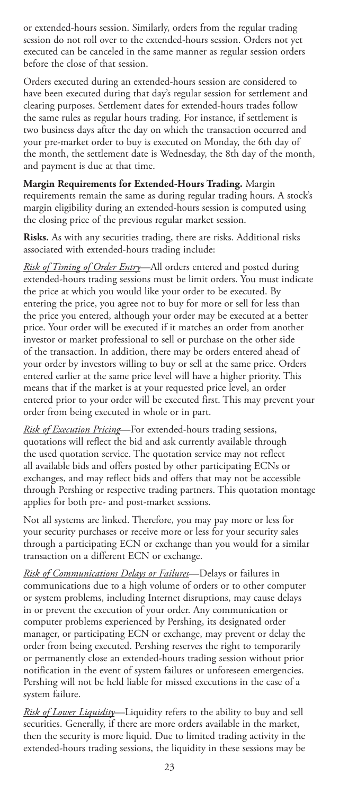or extended-hours session. Similarly, orders from the regular trading session do not roll over to the extended-hours session. Orders not yet executed can be canceled in the same manner as regular session orders before the close of that session.

Orders executed during an extended-hours session are considered to have been executed during that day's regular session for settlement and clearing purposes. Settlement dates for extended-hours trades follow the same rules as regular hours trading. For instance, if settlement is two business days after the day on which the transaction occurred and your pre-market order to buy is executed on Monday, the 6th day of the month, the settlement date is Wednesday, the 8th day of the month, and payment is due at that time.

**Margin Requirements for Extended-Hours Trading.** Margin requirements remain the same as during regular trading hours. A stock's margin eligibility during an extended-hours session is computed using the closing price of the previous regular market session.

**Risks.** As with any securities trading, there are risks. Additional risks associated with extended-hours trading include:

*Risk of Timing of Order Entry*—All orders entered and posted during extended-hours trading sessions must be limit orders. You must indicate the price at which you would like your order to be executed. By entering the price, you agree not to buy for more or sell for less than the price you entered, although your order may be executed at a better price. Your order will be executed if it matches an order from another investor or market professional to sell or purchase on the other side of the transaction. In addition, there may be orders entered ahead of your order by investors willing to buy or sell at the same price. Orders entered earlier at the same price level will have a higher priority. This means that if the market is at your requested price level, an order entered prior to your order will be executed first. This may prevent your order from being executed in whole or in part.

*Risk of Execution Pricing*—For extended-hours trading sessions, quotations will reflect the bid and ask currently available through the used quotation service. The quotation service may not reflect all available bids and offers posted by other participating ECNs or exchanges, and may reflect bids and offers that may not be accessible through Pershing or respective trading partners. This quotation montage applies for both pre- and post-market sessions.

Not all systems are linked. Therefore, you may pay more or less for your security purchases or receive more or less for your security sales through a participating ECN or exchange than you would for a similar transaction on a different ECN or exchange.

*Risk of Communications Delays or Failures*—Delays or failures in communications due to a high volume of orders or to other computer or system problems, including Internet disruptions, may cause delays in or prevent the execution of your order. Any communication or computer problems experienced by Pershing, its designated order manager, or participating ECN or exchange, may prevent or delay the order from being executed. Pershing reserves the right to temporarily or permanently close an extended-hours trading session without prior notification in the event of system failures or unforeseen emergencies. Pershing will not be held liable for missed executions in the case of a system failure.

*Risk of Lower Liquidity*—Liquidity refers to the ability to buy and sell securities. Generally, if there are more orders available in the market, then the security is more liquid. Due to limited trading activity in the extended-hours trading sessions, the liquidity in these sessions may be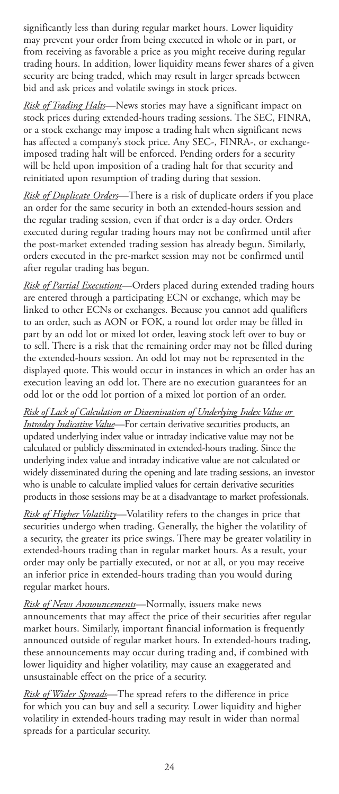significantly less than during regular market hours. Lower liquidity may prevent your order from being executed in whole or in part, or from receiving as favorable a price as you might receive during regular trading hours. In addition, lower liquidity means fewer shares of a given security are being traded, which may result in larger spreads between bid and ask prices and volatile swings in stock prices.

*Risk of Trading Halts*—News stories may have a significant impact on stock prices during extended-hours trading sessions. The SEC, FINRA, or a stock exchange may impose a trading halt when significant news has affected a company's stock price. Any SEC-, FINRA-, or exchangeimposed trading halt will be enforced. Pending orders for a security will be held upon imposition of a trading halt for that security and reinitiated upon resumption of trading during that session.

*Risk of Duplicate Orders*—There is a risk of duplicate orders if you place an order for the same security in both an extended-hours session and the regular trading session, even if that order is a day order. Orders executed during regular trading hours may not be confirmed until after the post-market extended trading session has already begun. Similarly, orders executed in the pre-market session may not be confirmed until after regular trading has begun.

*Risk of Partial Executions*—Orders placed during extended trading hours are entered through a participating ECN or exchange, which may be linked to other ECNs or exchanges. Because you cannot add qualifiers to an order, such as AON or FOK, a round lot order may be filled in part by an odd lot or mixed lot order, leaving stock left over to buy or to sell. There is a risk that the remaining order may not be filled during the extended-hours session. An odd lot may not be represented in the displayed quote. This would occur in instances in which an order has an execution leaving an odd lot. There are no execution guarantees for an odd lot or the odd lot portion of a mixed lot portion of an order.

*Risk of Lack of Calculation or Dissemination of Underlying Index Value or Intraday Indicative Value*—For certain derivative securities products, an updated underlying index value or intraday indicative value may not be calculated or publicly disseminated in extended-hours trading. Since the underlying index value and intraday indicative value are not calculated or widely disseminated during the opening and late trading sessions, an investor who is unable to calculate implied values for certain derivative securities products in those sessions may be at a disadvantage to market professionals.

*Risk of Higher Volatility*—Volatility refers to the changes in price that securities undergo when trading. Generally, the higher the volatility of a security, the greater its price swings. There may be greater volatility in extended-hours trading than in regular market hours. As a result, your order may only be partially executed, or not at all, or you may receive an inferior price in extended-hours trading than you would during regular market hours.

*Risk of News Announcements*—Normally, issuers make news announcements that may affect the price of their securities after regular market hours. Similarly, important financial information is frequently announced outside of regular market hours. In extended-hours trading, these announcements may occur during trading and, if combined with lower liquidity and higher volatility, may cause an exaggerated and unsustainable effect on the price of a security.

*Risk of Wider Spreads*—The spread refers to the difference in price for which you can buy and sell a security. Lower liquidity and higher volatility in extended-hours trading may result in wider than normal spreads for a particular security.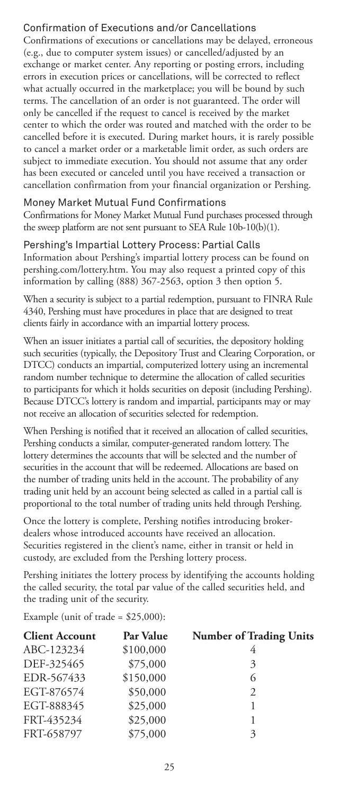# Confirmation of Executions and/or Cancellations

Confirmations of executions or cancellations may be delayed, erroneous (e.g., due to computer system issues) or cancelled/adjusted by an exchange or market center. Any reporting or posting errors, including errors in execution prices or cancellations, will be corrected to reflect what actually occurred in the marketplace; you will be bound by such terms. The cancellation of an order is not guaranteed. The order will only be cancelled if the request to cancel is received by the market center to which the order was routed and matched with the order to be cancelled before it is executed. During market hours, it is rarely possible to cancel a market order or a marketable limit order, as such orders are subject to immediate execution. You should not assume that any order has been executed or canceled until you have received a transaction or cancellation confirmation from your financial organization or Pershing.

# Money Market Mutual Fund Confirmations

Confirmations for Money Market Mutual Fund purchases processed through the sweep platform are not sent pursuant to SEA Rule 10b-10(b)(1).

# Pershing's Impartial Lottery Process: Partial Calls

Information about Pershing's impartial lottery process can be found on pershing.com/lottery.htm. You may also request a printed copy of this information by calling (888) 367-2563, option 3 then option 5.

When a security is subject to a partial redemption, pursuant to FINRA Rule 4340, Pershing must have procedures in place that are designed to treat clients fairly in accordance with an impartial lottery process.

When an issuer initiates a partial call of securities, the depository holding such securities (typically, the Depository Trust and Clearing Corporation, or DTCC) conducts an impartial, computerized lottery using an incremental random number technique to determine the allocation of called securities to participants for which it holds securities on deposit (including Pershing). Because DTCC's lottery is random and impartial, participants may or may not receive an allocation of securities selected for redemption.

When Pershing is notified that it received an allocation of called securities, Pershing conducts a similar, computer-generated random lottery. The lottery determines the accounts that will be selected and the number of securities in the account that will be redeemed. Allocations are based on the number of trading units held in the account. The probability of any trading unit held by an account being selected as called in a partial call is proportional to the total number of trading units held through Pershing.

Once the lottery is complete, Pershing notifies introducing brokerdealers whose introduced accounts have received an allocation. Securities registered in the client's name, either in transit or held in custody, are excluded from the Pershing lottery process.

Pershing initiates the lottery process by identifying the accounts holding the called security, the total par value of the called securities held, and the trading unit of the security.

Example (unit of trade = \$25,000):

| Par Value | <b>Number of Trading Units</b> |
|-----------|--------------------------------|
| \$100,000 |                                |
| \$75,000  | 3                              |
| \$150,000 | 6                              |
| \$50,000  | 2                              |
| \$25,000  |                                |
| \$25,000  |                                |
| \$75,000  | 3                              |
|           |                                |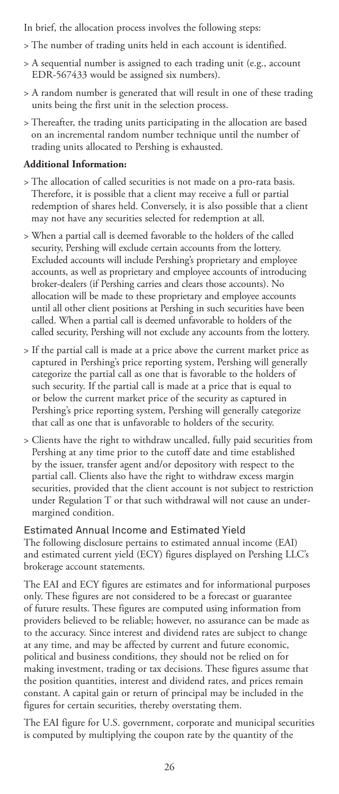In brief, the allocation process involves the following steps:

- > The number of trading units held in each account is identified.
- > A sequential number is assigned to each trading unit (e.g., account EDR-567433 would be assigned six numbers).
- > A random number is generated that will result in one of these trading units being the first unit in the selection process.
- > Thereafter, the trading units participating in the allocation are based on an incremental random number technique until the number of trading units allocated to Pershing is exhausted.

### **Additional Information:**

- > The allocation of called securities is not made on a pro-rata basis. Therefore, it is possible that a client may receive a full or partial redemption of shares held. Conversely, it is also possible that a client may not have any securities selected for redemption at all.
- > When a partial call is deemed favorable to the holders of the called security, Pershing will exclude certain accounts from the lottery. Excluded accounts will include Pershing's proprietary and employee accounts, as well as proprietary and employee accounts of introducing broker-dealers (if Pershing carries and clears those accounts). No allocation will be made to these proprietary and employee accounts until all other client positions at Pershing in such securities have been called. When a partial call is deemed unfavorable to holders of the called security, Pershing will not exclude any accounts from the lottery.
- > If the partial call is made at a price above the current market price as captured in Pershing's price reporting system, Pershing will generally categorize the partial call as one that is favorable to the holders of such security. If the partial call is made at a price that is equal to or below the current market price of the security as captured in Pershing's price reporting system, Pershing will generally categorize that call as one that is unfavorable to holders of the security.
- > Clients have the right to withdraw uncalled, fully paid securities from Pershing at any time prior to the cutoff date and time established by the issuer, transfer agent and/or depository with respect to the partial call. Clients also have the right to withdraw excess margin securities, provided that the client account is not subject to restriction under Regulation T or that such withdrawal will not cause an undermargined condition.

Estimated Annual Income and Estimated Yield The following disclosure pertains to estimated annual income (EAI) and estimated current yield (ECY) figures displayed on Pershing LLC's brokerage account statements.

The EAI and ECY figures are estimates and for informational purposes only. These figures are not considered to be a forecast or guarantee of future results. These figures are computed using information from providers believed to be reliable; however, no assurance can be made as to the accuracy. Since interest and dividend rates are subject to change at any time, and may be affected by current and future economic, political and business conditions, they should not be relied on for making investment, trading or tax decisions. These figures assume that the position quantities, interest and dividend rates, and prices remain constant. A capital gain or return of principal may be included in the figures for certain securities, thereby overstating them.

The EAI figure for U.S. government, corporate and municipal securities is computed by multiplying the coupon rate by the quantity of the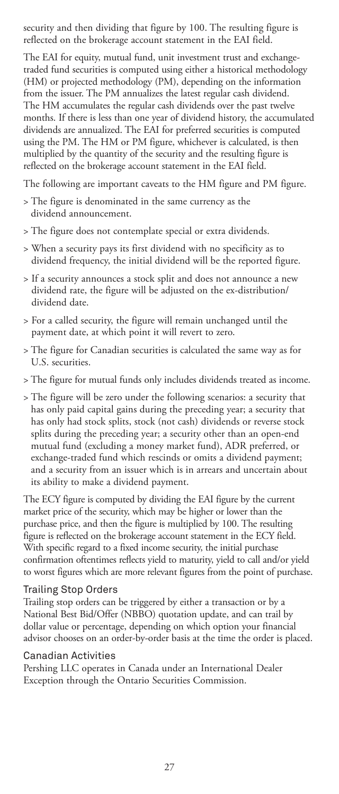security and then dividing that figure by 100. The resulting figure is reflected on the brokerage account statement in the EAI field.

The EAI for equity, mutual fund, unit investment trust and exchangetraded fund securities is computed using either a historical methodology (HM) or projected methodology (PM), depending on the information from the issuer. The PM annualizes the latest regular cash dividend. The HM accumulates the regular cash dividends over the past twelve months. If there is less than one year of dividend history, the accumulated dividends are annualized. The EAI for preferred securities is computed using the PM. The HM or PM figure, whichever is calculated, is then multiplied by the quantity of the security and the resulting figure is reflected on the brokerage account statement in the EAI field.

The following are important caveats to the HM figure and PM figure.

- > The figure is denominated in the same currency as the dividend announcement.
- > The figure does not contemplate special or extra dividends.
- > When a security pays its first dividend with no specificity as to dividend frequency, the initial dividend will be the reported figure.
- > If a security announces a stock split and does not announce a new dividend rate, the figure will be adjusted on the ex-distribution/ dividend date.
- > For a called security, the figure will remain unchanged until the payment date, at which point it will revert to zero.
- > The figure for Canadian securities is calculated the same way as for U.S. securities.
- > The figure for mutual funds only includes dividends treated as income.
- > The figure will be zero under the following scenarios: a security that has only paid capital gains during the preceding year; a security that has only had stock splits, stock (not cash) dividends or reverse stock splits during the preceding year; a security other than an open-end mutual fund (excluding a money market fund), ADR preferred, or exchange-traded fund which rescinds or omits a dividend payment; and a security from an issuer which is in arrears and uncertain about its ability to make a dividend payment.

The ECY figure is computed by dividing the EAI figure by the current market price of the security, which may be higher or lower than the purchase price, and then the figure is multiplied by 100. The resulting figure is reflected on the brokerage account statement in the ECY field. With specific regard to a fixed income security, the initial purchase confirmation oftentimes reflects yield to maturity, yield to call and/or yield to worst figures which are more relevant figures from the point of purchase.

#### Trailing Stop Orders

Trailing stop orders can be triggered by either a transaction or by a National Best Bid/Offer (NBBO) quotation update, and can trail by dollar value or percentage, depending on which option your financial advisor chooses on an order-by-order basis at the time the order is placed.

#### Canadian Activities

Pershing LLC operates in Canada under an International Dealer Exception through the Ontario Securities Commission.